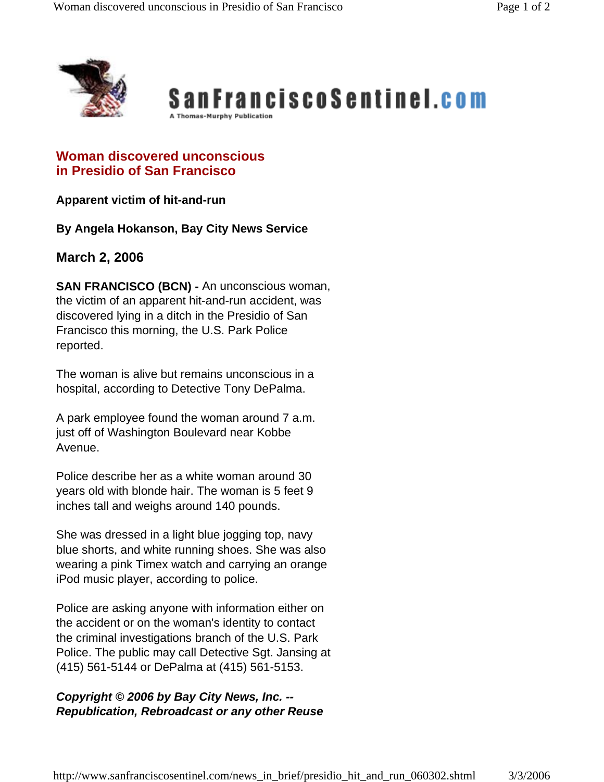



## **Woman discovered unconscious in Presidio of San Francisco**

**Apparent victim of hit-and-run** 

**By Angela Hokanson, Bay City News Service**

## **March 2, 2006**

**SAN FRANCISCO (BCN) -** An unconscious woman, the victim of an apparent hit-and-run accident, was discovered lying in a ditch in the Presidio of San Francisco this morning, the U.S. Park Police reported.

The woman is alive but remains unconscious in a hospital, according to Detective Tony DePalma.

A park employee found the woman around 7 a.m. just off of Washington Boulevard near Kobbe Avenue.

Police describe her as a white woman around 30 years old with blonde hair. The woman is 5 feet 9 inches tall and weighs around 140 pounds.

She was dressed in a light blue jogging top, navy blue shorts, and white running shoes. She was also wearing a pink Timex watch and carrying an orange iPod music player, according to police.

Police are asking anyone with information either on the accident or on the woman's identity to contact the criminal investigations branch of the U.S. Park Police. The public may call Detective Sgt. Jansing at (415) 561-5144 or DePalma at (415) 561-5153.

## *Copyright © 2006 by Bay City News, Inc. -- Republication, Rebroadcast or any other Reuse*